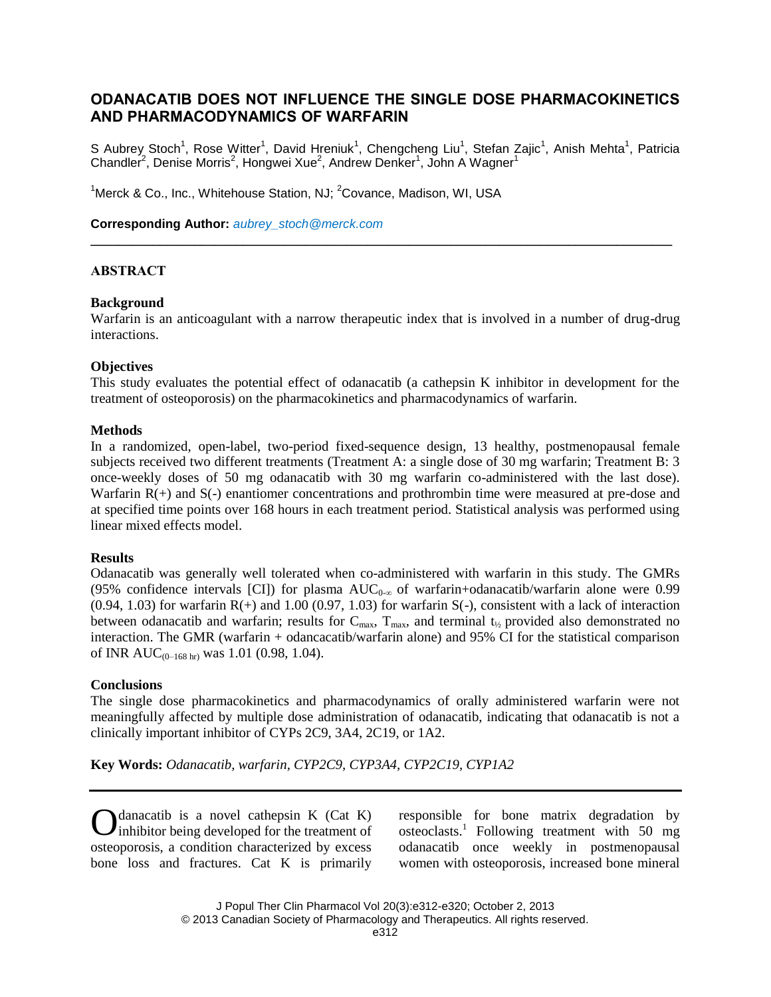# **ODANACATIB DOES NOT INFLUENCE THE SINGLE DOSE PHARMACOKINETICS AND PHARMACODYNAMICS OF WARFARIN**

S Aubrey Stoch<sup>1</sup>, Rose Witter<sup>1</sup>, David Hreniuk<sup>1</sup>, Chengcheng Liu<sup>1</sup>, Stefan Zajic<sup>1</sup>, Anish Mehta<sup>1</sup>, Patricia Chandler<sup>2</sup>, Denise Morris<sup>2</sup>, Hongwei Xue<sup>2</sup>, Andrew Denker<sup>1</sup>, John A Wagner<sup>1</sup>

<sup>1</sup>Merck & Co., Inc., Whitehouse Station, NJ;  ${}^{2}$ Covance, Madison, WI, USA

**Corresponding Author:** *[aubrey\\_stoch@merck.com](mailto:aubrey_stoch@merck.com)*

# **ABSTRACT**

#### **Background**

Warfarin is an anticoagulant with a narrow therapeutic index that is involved in a number of drug-drug interactions.

**\_\_\_\_\_\_\_\_\_\_\_\_\_\_\_\_\_\_\_\_\_\_\_\_\_\_\_\_\_\_\_\_\_\_\_\_\_\_\_\_\_\_\_\_\_\_\_\_\_\_\_\_\_\_\_\_\_\_\_\_\_\_\_\_\_\_\_\_\_\_\_\_\_\_\_\_\_\_\_\_\_\_\_\_**

#### **Objectives**

This study evaluates the potential effect of odanacatib (a cathepsin K inhibitor in development for the treatment of osteoporosis) on the pharmacokinetics and pharmacodynamics of warfarin.

#### **Methods**

In a randomized, open-label, two-period fixed-sequence design, 13 healthy, postmenopausal female subjects received two different treatments (Treatment A: a single dose of 30 mg warfarin; Treatment B: 3 once-weekly doses of 50 mg odanacatib with 30 mg warfarin co-administered with the last dose). Warfarin R(+) and S(-) enantiomer concentrations and prothrombin time were measured at pre-dose and at specified time points over 168 hours in each treatment period. Statistical analysis was performed using linear mixed effects model.

#### **Results**

Odanacatib was generally well tolerated when co-administered with warfarin in this study. The GMRs (95% confidence intervals [CI]) for plasma  $AUC_{0-\infty}$  of warfarin+odanacatib/warfarin alone were 0.99  $(0.94, 1.03)$  for warfarin R(+) and 1.00 (0.97, 1.03) for warfarin S(-), consistent with a lack of interaction between odanacatib and warfarin; results for  $C_{max}$ ,  $T_{max}$ , and terminal  $t_{1/2}$  provided also demonstrated no interaction. The GMR (warfarin + odancacatib/warfarin alone) and 95% CI for the statistical comparison of INR AUC<sub>(0–168 hr)</sub> was 1.01 (0.98, 1.04).

# **Conclusions**

The single dose pharmacokinetics and pharmacodynamics of orally administered warfarin were not meaningfully affected by multiple dose administration of odanacatib, indicating that odanacatib is not a clinically important inhibitor of CYPs 2C9, 3A4, 2C19, or 1A2.

**Key Words:** *Odanacatib, warfarin, CYP2C9, CYP3A4, CYP2C19, CYP1A2*

danacatib is a novel cathepsin K (Cat K)  $\sum$  danacatib is a novel cathepsin K (Cat K) inhibitor being developed for the treatment of osteoporosis, a condition characterized by excess bone loss and fractures. Cat K is primarily

responsible for bone matrix degradation by osteoclasts. 1 Following treatment with 50 mg odanacatib once weekly in postmenopausal women with osteoporosis, increased bone mineral

J Popul Ther Clin Pharmacol Vol 20(3):e312-e320; October 2, 2013 © 2013 Canadian Society of Pharmacology and Therapeutics. All rights reserved.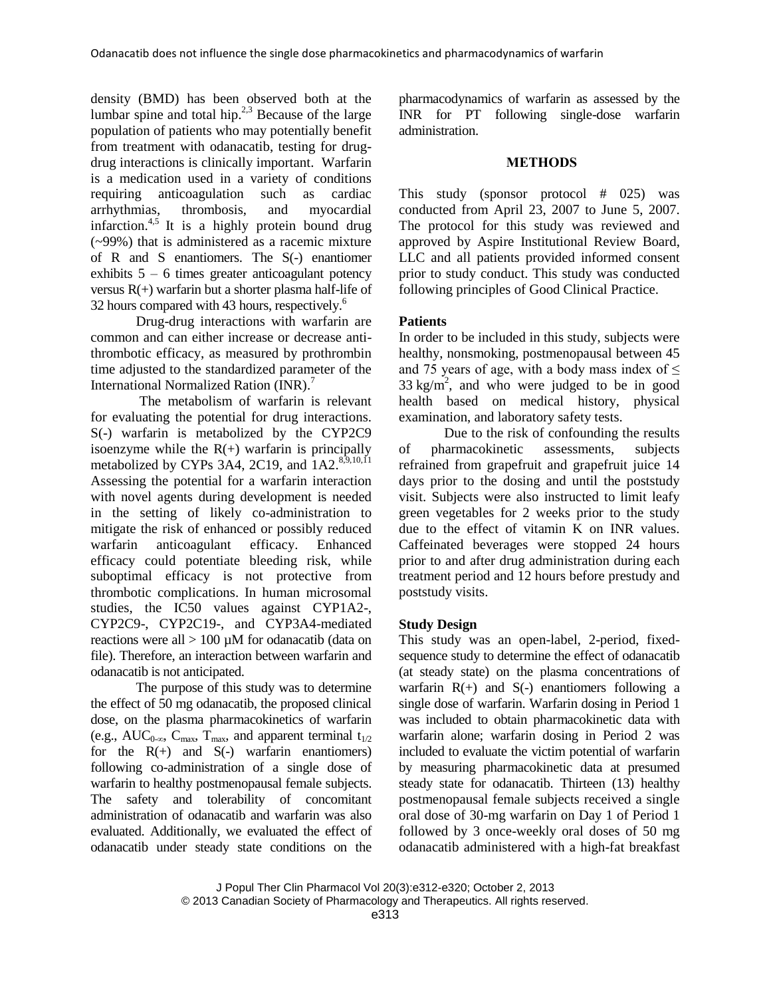density (BMD) has been observed both at the lumbar spine and total hip. $2,3$  Because of the large population of patients who may potentially benefit from treatment with odanacatib, testing for drugdrug interactions is clinically important. Warfarin is a medication used in a variety of conditions requiring anticoagulation such as cardiac arrhythmias, thrombosis, and myocardial infarction.<sup>4,5</sup> It is a highly protein bound drug (~99%) that is administered as a racemic mixture of R and S enantiomers. The S(-) enantiomer exhibits  $5 - 6$  times greater anticoagulant potency versus  $R(+)$  warfarin but a shorter plasma half-life of 32 hours compared with 43 hours, respectively.<sup>6</sup>

Drug-drug interactions with warfarin are common and can either increase or decrease antithrombotic efficacy, as measured by prothrombin time adjusted to the standardized parameter of the International Normalized Ration (INR).<sup>7</sup>

The metabolism of warfarin is relevant for evaluating the potential for drug interactions. S(-) warfarin is metabolized by the CYP2C9 isoenzyme while the  $R(+)$  warfarin is principally metabolized by CYPs 3A4, 2C19, and  $1A2$ <sup>8,9,10,11</sup> Assessing the potential for a warfarin interaction with novel agents during development is needed in the setting of likely co-administration to mitigate the risk of enhanced or possibly reduced warfarin anticoagulant efficacy. Enhanced efficacy could potentiate bleeding risk, while suboptimal efficacy is not protective from thrombotic complications. In human microsomal studies, the IC50 values against CYP1A2-, CYP2C9-, CYP2C19-, and CYP3A4-mediated reactions were all > 100 µM for odanacatib (data on file). Therefore, an interaction between warfarin and odanacatib is not anticipated.

The purpose of this study was to determine the effect of 50 mg odanacatib, the proposed clinical dose, on the plasma pharmacokinetics of warfarin (e.g., AUC<sub>0-∞</sub>, C<sub>max</sub>, T<sub>max</sub>, and apparent terminal t<sub>1/2</sub> for the  $R(+)$  and  $S(-)$  warfarin enantiomers) following co-administration of a single dose of warfarin to healthy postmenopausal female subjects. The safety and tolerability of concomitant administration of odanacatib and warfarin was also evaluated. Additionally, we evaluated the effect of odanacatib under steady state conditions on the pharmacodynamics of warfarin as assessed by the INR for PT following single-dose warfarin administration.

#### **METHODS**

This study (sponsor protocol # 025) was conducted from April 23, 2007 to June 5, 2007. The protocol for this study was reviewed and approved by Aspire Institutional Review Board, LLC and all patients provided informed consent prior to study conduct. This study was conducted following principles of Good Clinical Practice.

# **Patients**

In order to be included in this study, subjects were healthy, nonsmoking, postmenopausal between 45 and 75 years of age, with a body mass index of  $\leq$  $33 \text{ kg/m}^2$ , and who were judged to be in good health based on medical history, physical examination, and laboratory safety tests.

Due to the risk of confounding the results of pharmacokinetic assessments, subjects refrained from grapefruit and grapefruit juice 14 days prior to the dosing and until the poststudy visit. Subjects were also instructed to limit leafy green vegetables for 2 weeks prior to the study due to the effect of vitamin K on INR values. Caffeinated beverages were stopped 24 hours prior to and after drug administration during each treatment period and 12 hours before prestudy and poststudy visits.

# **Study Design**

This study was an open-label, 2-period, fixedsequence study to determine the effect of odanacatib (at steady state) on the plasma concentrations of warfarin  $R(+)$  and  $S(-)$  enantiomers following a single dose of warfarin. Warfarin dosing in Period 1 was included to obtain pharmacokinetic data with warfarin alone; warfarin dosing in Period 2 was included to evaluate the victim potential of warfarin by measuring pharmacokinetic data at presumed steady state for odanacatib. Thirteen (13) healthy postmenopausal female subjects received a single oral dose of 30-mg warfarin on Day 1 of Period 1 followed by 3 once-weekly oral doses of 50 mg odanacatib administered with a high-fat breakfast

© 2013 Canadian Society of Pharmacology and Therapeutics. All rights reserved.

J Popul Ther Clin Pharmacol Vol 20(3):e312-e320; October 2, 2013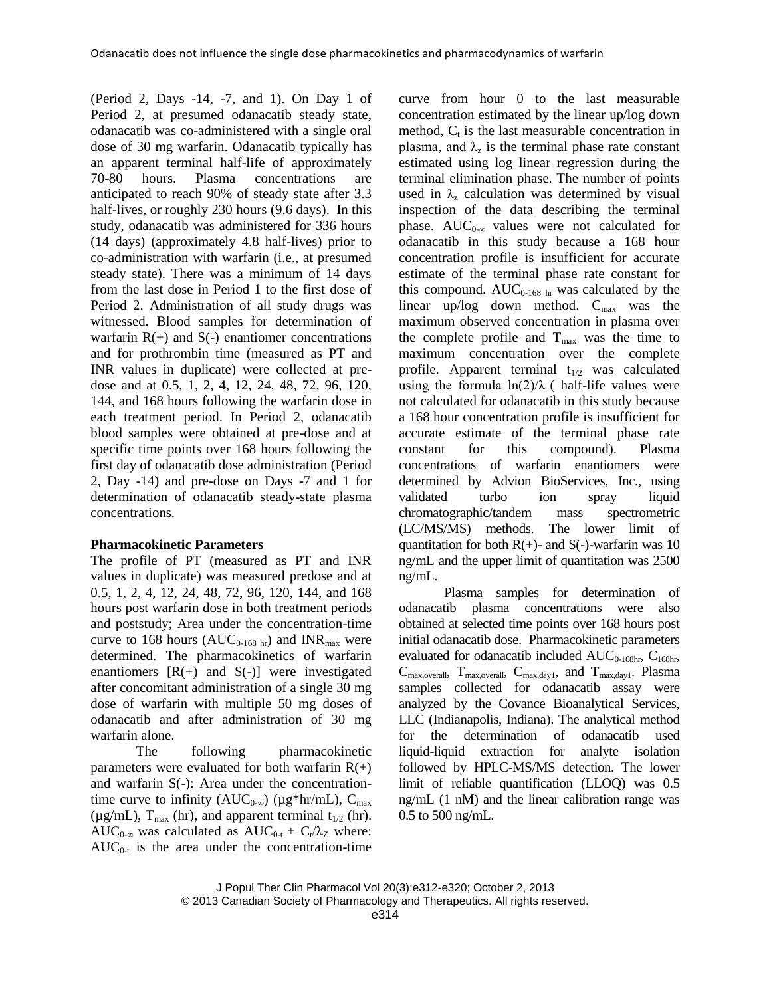(Period 2, Days -14, -7, and 1). On Day 1 of Period 2, at presumed odanacatib steady state, odanacatib was co-administered with a single oral dose of 30 mg warfarin. Odanacatib typically has an apparent terminal half-life of approximately 70-80 hours. Plasma concentrations are anticipated to reach 90% of steady state after 3.3 half-lives, or roughly 230 hours (9.6 days). In this study, odanacatib was administered for 336 hours (14 days) (approximately 4.8 half-lives) prior to co-administration with warfarin (i.e., at presumed steady state). There was a minimum of 14 days from the last dose in Period 1 to the first dose of Period 2. Administration of all study drugs was witnessed. Blood samples for determination of warfarin  $R(+)$  and  $S(-)$  enantiomer concentrations and for prothrombin time (measured as PT and INR values in duplicate) were collected at predose and at 0.5, 1, 2, 4, 12, 24, 48, 72, 96, 120, 144, and 168 hours following the warfarin dose in each treatment period. In Period 2, odanacatib blood samples were obtained at pre-dose and at specific time points over 168 hours following the first day of odanacatib dose administration (Period 2, Day -14) and pre-dose on Days -7 and 1 for determination of odanacatib steady-state plasma concentrations.

# **Pharmacokinetic Parameters**

The profile of PT (measured as PT and INR values in duplicate) was measured predose and at 0.5, 1, 2, 4, 12, 24, 48, 72, 96, 120, 144, and 168 hours post warfarin dose in both treatment periods and poststudy; Area under the concentration-time curve to 168 hours ( $AUC_{0.168 \text{ hr}}$ ) and INR<sub>max</sub> were determined. The pharmacokinetics of warfarin enantiomers  $[R(+)]$  and  $S(-)]$  were investigated after concomitant administration of a single 30 mg dose of warfarin with multiple 50 mg doses of odanacatib and after administration of 30 mg warfarin alone.

The following pharmacokinetic parameters were evaluated for both warfarin  $R(+)$ and warfarin S(-): Area under the concentrationtime curve to infinity ( $AUC_{0-\infty}$ ) ( $\mu g*hr/mL$ ),  $C_{\text{max}}$ ( $\mu$ g/mL), T<sub>max</sub> (hr), and apparent terminal t<sub>1/2</sub> (hr). AUC<sub>0-∞</sub> was calculated as  $AUC_{0-t} + C_t/\lambda_Z$  where:  $AUC_{0-t}$  is the area under the concentration-time curve from hour 0 to the last measurable concentration estimated by the linear up/log down method,  $C_t$  is the last measurable concentration in plasma, and  $\lambda_z$  is the terminal phase rate constant estimated using log linear regression during the terminal elimination phase. The number of points used in  $\lambda$ <sub>z</sub> calculation was determined by visual inspection of the data describing the terminal phase.  $AUC_{0-\infty}$  values were not calculated for odanacatib in this study because a 168 hour concentration profile is insufficient for accurate estimate of the terminal phase rate constant for this compound.  $AUC_{0-168 \text{ hr}}$  was calculated by the linear up/log down method.  $C_{\text{max}}$  was the maximum observed concentration in plasma over the complete profile and  $T_{\text{max}}$  was the time to maximum concentration over the complete profile. Apparent terminal  $t_{1/2}$  was calculated using the formula  $ln(2)/\lambda$  ( half-life values were not calculated for odanacatib in this study because a 168 hour concentration profile is insufficient for accurate estimate of the terminal phase rate constant for this compound). Plasma concentrations of warfarin enantiomers were determined by Advion BioServices, Inc., using validated turbo ion spray liquid chromatographic/tandem mass spectrometric (LC/MS/MS) methods. The lower limit of quantitation for both  $R(+)$ - and  $S(-)$ -warfarin was 10 ng/mL and the upper limit of quantitation was 2500 ng/mL.

Plasma samples for determination of odanacatib plasma concentrations were also obtained at selected time points over 168 hours post initial odanacatib dose. Pharmacokinetic parameters evaluated for odanacatib included  $AUC_{0-168hr}$ ,  $C_{168hr}$ ,  $C_{\text{max,overall}}$ ,  $T_{\text{max,overall}}$ ,  $C_{\text{max,day1}}$ , and  $T_{\text{max,day1}}$ . Plasma samples collected for odanacatib assay were analyzed by the Covance Bioanalytical Services, LLC (Indianapolis, Indiana). The analytical method for the determination of odanacatib used liquid-liquid extraction for analyte isolation followed by HPLC-MS/MS detection. The lower limit of reliable quantification (LLOQ) was 0.5 ng/mL (1 nM) and the linear calibration range was 0.5 to 500 ng/mL.

J Popul Ther Clin Pharmacol Vol 20(3):e312-e320; October 2, 2013 © 2013 Canadian Society of Pharmacology and Therapeutics. All rights reserved.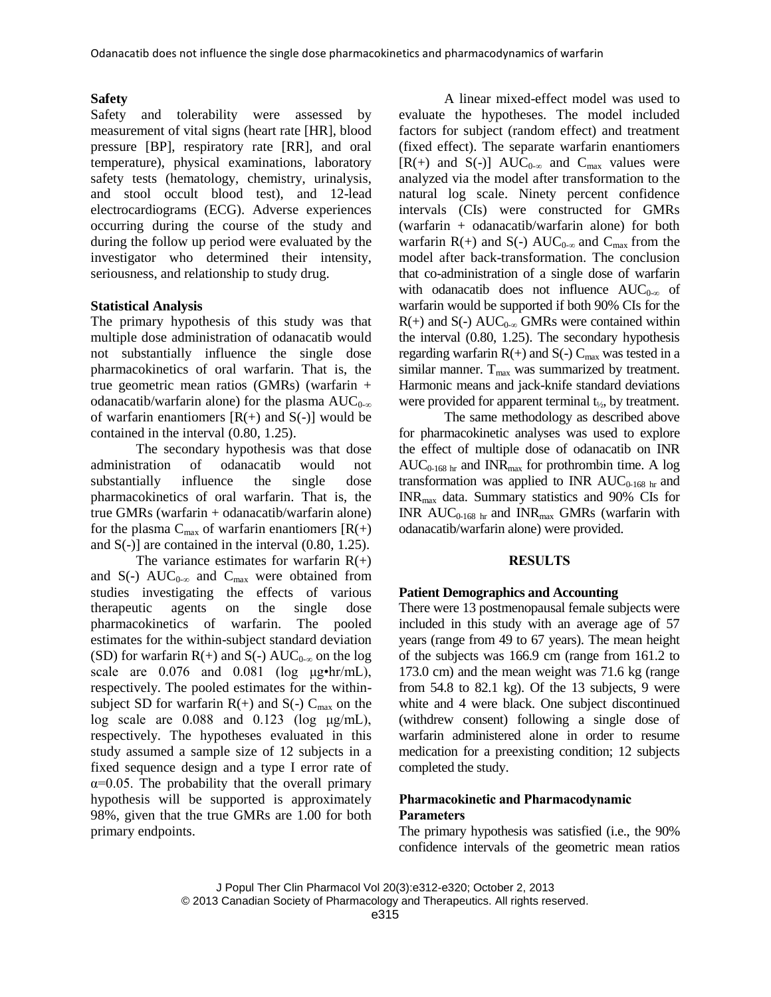### **Safety**

Safety and tolerability were assessed by measurement of vital signs (heart rate [HR], blood pressure [BP], respiratory rate [RR], and oral temperature), physical examinations, laboratory safety tests (hematology, chemistry, urinalysis, and stool occult blood test), and 12-lead electrocardiograms (ECG). Adverse experiences occurring during the course of the study and during the follow up period were evaluated by the investigator who determined their intensity, seriousness, and relationship to study drug.

# **Statistical Analysis**

The primary hypothesis of this study was that multiple dose administration of odanacatib would not substantially influence the single dose pharmacokinetics of oral warfarin. That is, the true geometric mean ratios (GMRs) (warfarin + odanacatib/warfarin alone) for the plasma  $AUC_{0-\infty}$ of warfarin enantiomers  $[R(+)$  and  $S(-)]$  would be contained in the interval (0.80, 1.25).

The secondary hypothesis was that dose administration of odanacatib would not substantially influence the single dose pharmacokinetics of oral warfarin. That is, the true GMRs (warfarin + odanacatib/warfarin alone) for the plasma  $C_{\text{max}}$  of warfarin enantiomers  $[R(+)]$ and  $S(-)$  are contained in the interval  $(0.80, 1.25)$ .

The variance estimates for warfarin  $R(+)$ and S(-)  $AUC_{0-\infty}$  and  $C_{\text{max}}$  were obtained from studies investigating the effects of various therapeutic agents on the single dose pharmacokinetics of warfarin. The pooled estimates for the within-subject standard deviation (SD) for warfarin R(+) and S(-) AUC<sub>0-∞</sub> on the log scale are  $0.076$  and  $0.081$  (log  $\mu$ g•hr/mL), respectively. The pooled estimates for the withinsubject SD for warfarin  $R(+)$  and  $S(-)$  C<sub>max</sub> on the log scale are 0.088 and 0.123 (log μg/mL), respectively. The hypotheses evaluated in this study assumed a sample size of 12 subjects in a fixed sequence design and a type I error rate of  $\alpha$ =0.05. The probability that the overall primary hypothesis will be supported is approximately 98%, given that the true GMRs are 1.00 for both primary endpoints.

A linear mixed-effect model was used to evaluate the hypotheses. The model included factors for subject (random effect) and treatment (fixed effect). The separate warfarin enantiomers [R(+) and S(-)] AUC<sub>0-∞</sub> and C<sub>max</sub> values were analyzed via the model after transformation to the natural log scale. Ninety percent confidence intervals (CIs) were constructed for GMRs (warfarin + odanacatib/warfarin alone) for both warfarin  $R(+)$  and  $S(-)$  AUC<sub>0-∞</sub> and C<sub>max</sub> from the model after back-transformation. The conclusion that co-administration of a single dose of warfarin with odanacatib does not influence  $AUC_{0-\infty}$  of warfarin would be supported if both 90% CIs for the  $R(+)$  and  $S(-)$  AUC<sub>0-∞</sub> GMRs were contained within the interval (0.80, 1.25). The secondary hypothesis regarding warfarin  $R(+)$  and  $S(-)$  C<sub>max</sub> was tested in a similar manner.  $T_{\text{max}}$  was summarized by treatment. Harmonic means and jack-knife standard deviations were provided for apparent terminal  $t_{\frac{1}{2}}$ , by treatment.

The same methodology as described above for pharmacokinetic analyses was used to explore the effect of multiple dose of odanacatib on INR  $AUC_{0-168 \text{ hr}}$  and INR<sub>max</sub> for prothrombin time. A log transformation was applied to INR  $AUC_{0.168 \text{ hr}}$  and INRmax data. Summary statistics and 90% CIs for INR  $AUC_{0-168 \text{ hr}}$  and INR<sub>max</sub> GMRs (warfarin with odanacatib/warfarin alone) were provided.

#### **RESULTS**

#### **Patient Demographics and Accounting**

There were 13 postmenopausal female subjects were included in this study with an average age of 57 years (range from 49 to 67 years). The mean height of the subjects was 166.9 cm (range from 161.2 to 173.0 cm) and the mean weight was 71.6 kg (range from  $54.8$  to  $82.1$  kg). Of the 13 subjects, 9 were white and 4 were black. One subject discontinued (withdrew consent) following a single dose of warfarin administered alone in order to resume medication for a preexisting condition; 12 subjects completed the study.

# **Pharmacokinetic and Pharmacodynamic Parameters**

The primary hypothesis was satisfied (i.e., the 90% confidence intervals of the geometric mean ratios

J Popul Ther Clin Pharmacol Vol 20(3):e312-e320; October 2, 2013 © 2013 Canadian Society of Pharmacology and Therapeutics. All rights reserved.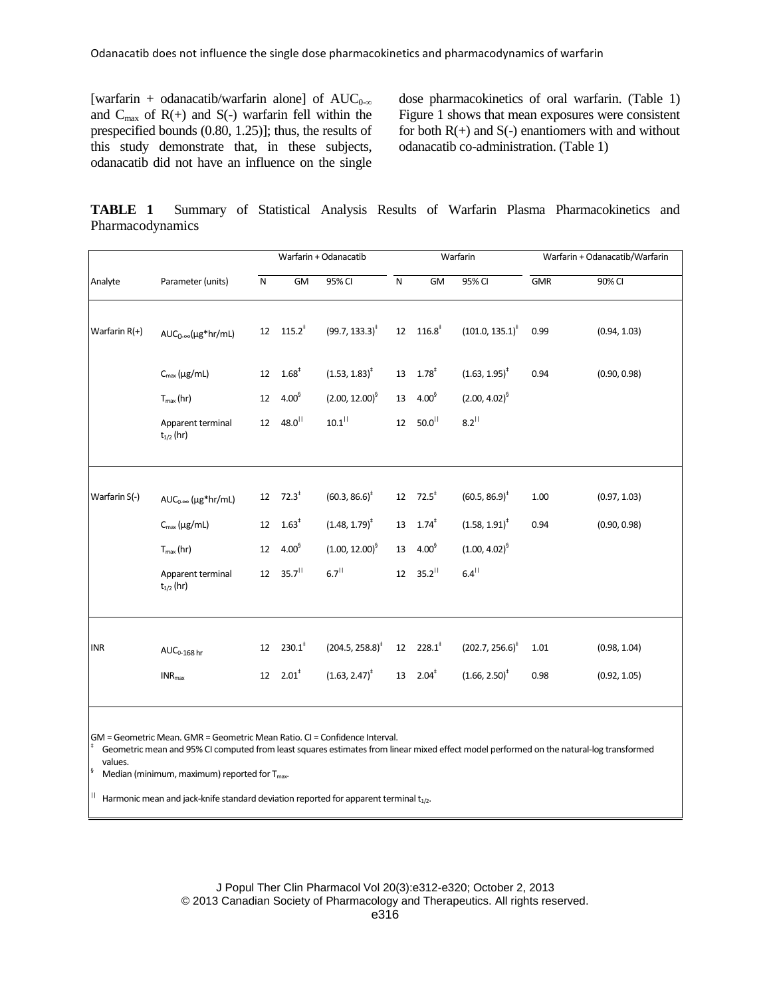[warfarin + odanacatib/warfarin alone] of  $AUC_{0-\infty}$ and  $C_{\text{max}}$  of  $R(+)$  and  $S(-)$  warfarin fell within the prespecified bounds (0.80, 1.25)]; thus, the results of this study demonstrate that, in these subjects, odanacatib did not have an influence on the single

dose pharmacokinetics of oral warfarin. (Table 1) Figure 1 shows that mean exposures were consistent for both  $R(+)$  and  $S(-)$  enantiomers with and without odanacatib co-administration. (Table 1)

**TABLE 1** Summary of Statistical Analysis Results of Warfarin Plasma Pharmacokinetics and Pharmacodynamics

| Analyte         | Parameter (units)                   | Warfarin + Odanacatib |                        |                                  | Warfarin  |                              |                             | Warfarin + Odanacatib/Warfarin |              |
|-----------------|-------------------------------------|-----------------------|------------------------|----------------------------------|-----------|------------------------------|-----------------------------|--------------------------------|--------------|
|                 |                                     | ${\sf N}$             | GM                     | 95% CI                           | ${\sf N}$ | <b>GM</b>                    | $\overline{95\%}$ CI        | <b>GMR</b>                     | 90% CI       |
| Warfarin $R(+)$ | $AUC_{0-\infty}(\mu g^*hr/mL)$      |                       | 12 $115.2^*$           | $(99.7, 133.3)^{\ddagger}$       |           | $12 \quad 116.8^\dagger$     | $(101.0, 135.1)^{\ddagger}$ | 0.99                           | (0.94, 1.03) |
|                 | $C_{\text{max}}(\mu g/mL)$          | 12                    | $1.68^{*}$             | $(1.53, 1.83)^{\ddagger}$        |           | $13 \quad 1.78^\ddagger$     | $(1.63, 1.95)^*$            | 0.94                           | (0.90, 0.98) |
|                 | $T_{max}(hr)$                       | 12                    | $4.00^{6}$             | $(2.00, 12.00)^9$                | 13        | $4.00^{9}$                   | $(2.00, 4.02)^{6}$          |                                |              |
|                 | Apparent terminal<br>$t_{1/2}$ (hr) | 12                    | $48.0^{  }$            | $10.1$ <sup>  </sup>             | 12        | $50.0^{11}$                  | $8.2$ <sup>  </sup>         |                                |              |
|                 |                                     |                       |                        |                                  |           |                              |                             |                                |              |
| Warfarin S(-)   | $AUC_{0\infty}$ (µg*hr/mL)          |                       | 12 $72.3^{\circ}$      | $(60.3, 86.6)^{\ddagger}$        |           | 12 $72.5^{\circ}$            | $(60.5, 86.9)^{\ddagger}$   | 1.00                           | (0.97, 1.03) |
|                 | $C_{\text{max}}(\mu g/mL)$          | 12                    | $1.63^{\ddagger}$      | $(1.48, 1.79)^*$                 | 13        | $1.74$ <sup>‡</sup>          | $(1.58, 1.91)^*$            | 0.94                           | (0.90, 0.98) |
|                 | $T_{max}(hr)$                       | 12                    | $4.00^{6}$             | $(1.00, 12.00)^9$                | 13        | $4.00^{9}$                   | $(1.00, 4.02)^9$            |                                |              |
|                 | Apparent terminal<br>$t_{1/2}$ (hr) | 12 <sup>2</sup>       | $35.7$ <sup>11</sup>   | $6.7$ <sup><math>  </math></sup> | 12        | $35.2$ <sup>  </sup>         | $6.4$ <sup>  </sup>         |                                |              |
|                 |                                     |                       |                        |                                  |           |                              |                             |                                |              |
| <b>INR</b>      | $AUC_{0-168}$ hr                    | 12                    | $230.1^*$              | $(204.5, 258.8)^{\ddagger}$      |           | $12 \t228.1$ <sup>*</sup>    | $(202.7, 256.6)^*$          | 1.01                           | (0.98, 1.04) |
|                 | $INR_{max}$                         |                       | $12 2.01$ <sup>*</sup> | $(1.63, 2.47)^{\ddagger}$        |           | $13 \quad 2.04$ <sup>*</sup> | $(1.66, 2.50)^{\ddagger}$   | 0.98                           | (0.92, 1.05) |
|                 |                                     |                       |                        |                                  |           |                              |                             |                                |              |

GM = Geometric Mean. GMR = Geometric Mean Ratio. CI = Confidence Interval.

Geometric mean and 95% CI computed from least squares estimates from linear mixed effect model performed on the natural-log transformed values.

Median (minimum, maximum) reported for  $T_{\text{max}}$ .

‡

 $||$  Harmonic mean and jack-knife standard deviation reported for apparent terminal  $t_{1/2}$ .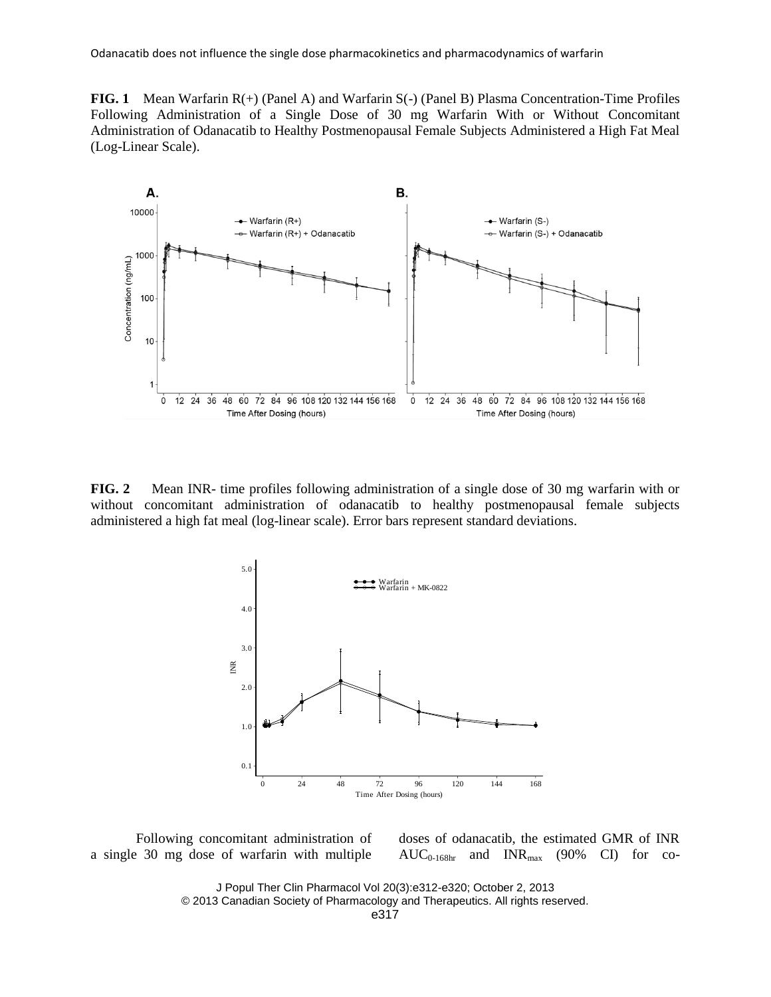**FIG. 1** Mean Warfarin R(+) (Panel A) and Warfarin S(-) (Panel B) Plasma Concentration-Time Profiles Following Administration of a Single Dose of 30 mg Warfarin With or Without Concomitant Administration of Odanacatib to Healthy Postmenopausal Female Subjects Administered a High Fat Meal (Log-Linear Scale).



**FIG. 2** Mean INR- time profiles following administration of a single dose of 30 mg warfarin with or without concomitant administration of odanacatib to healthy postmenopausal female subjects administered a high fat meal (log-linear scale). Error bars represent standard deviations.



Following concomitant administration of a single 30 mg dose of warfarin with multiple doses of odanacatib, the estimated GMR of INR  $AUC_{0.168hr}$  and  $INR_{max}$  (90% CI) for co-

J Popul Ther Clin Pharmacol Vol 20(3):e312-e320; October 2, 2013 © 2013 Canadian Society of Pharmacology and Therapeutics. All rights reserved.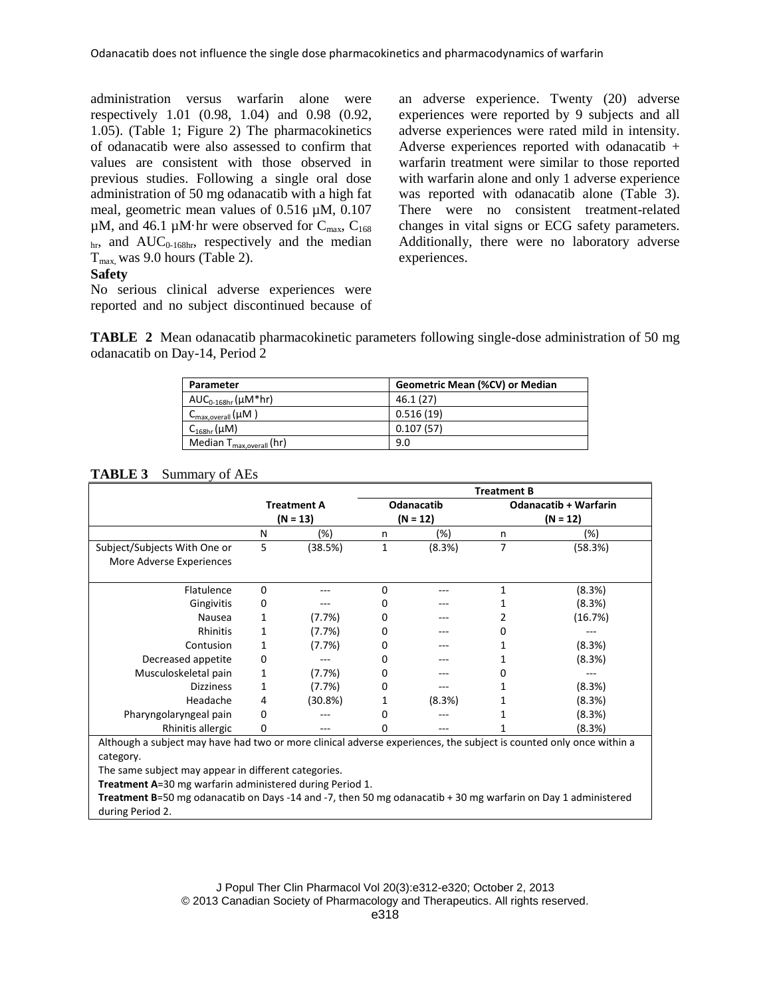administration versus warfarin alone were respectively 1.01 (0.98, 1.04) and 0.98 (0.92, 1.05). (Table 1; Figure 2) The pharmacokinetics of odanacatib were also assessed to confirm that values are consistent with those observed in previous studies. Following a single oral dose administration of 50 mg odanacatib with a high fat meal, geometric mean values of 0.516 µM, 0.107  $\mu$ M, and 46.1  $\mu$ M·hr were observed for C<sub>max</sub>, C<sub>168</sub>  $_{\text{hr}}$ , and AUC<sub>0-168hr</sub>, respectively and the median  $T_{\text{max}}$  was 9.0 hours (Table 2).

# **Safety**

No serious clinical adverse experiences were reported and no subject discontinued because of an adverse experience. Twenty (20) adverse experiences were reported by 9 subjects and all adverse experiences were rated mild in intensity. Adverse experiences reported with odanacatib + warfarin treatment were similar to those reported with warfarin alone and only 1 adverse experience was reported with odanacatib alone (Table 3). There were no consistent treatment-related changes in vital signs or ECG safety parameters. Additionally, there were no laboratory adverse experiences.

**TABLE 2** Mean odanacatib pharmacokinetic parameters following single-dose administration of 50 mg odanacatib on Day-14, Period 2

| Parameter                             | Geometric Mean (%CV) or Median |
|---------------------------------------|--------------------------------|
| $AUC_{0-168hr}(\mu M^*hr)$            | 46.1(27)                       |
| $C_{\text{max,overall}}(\mu M)$       | 0.516(19)                      |
| $C_{168hr}(\mu M)$                    | 0.107(57)                      |
| Median T <sub>max, overall</sub> (hr) | 9.0                            |

# **TABLE 3** Summary of AEs

|                                                                                                                                  |            |                    | <b>Treatment B</b> |                   |                              |         |  |  |
|----------------------------------------------------------------------------------------------------------------------------------|------------|--------------------|--------------------|-------------------|------------------------------|---------|--|--|
|                                                                                                                                  |            | <b>Treatment A</b> |                    | <b>Odanacatib</b> | <b>Odanacatib + Warfarin</b> |         |  |  |
|                                                                                                                                  | $(N = 13)$ |                    |                    | $(N = 12)$        | $(N = 12)$                   |         |  |  |
|                                                                                                                                  | N          | (%)                | n                  | (%)               | n                            | $(\%)$  |  |  |
| Subject/Subjects With One or<br>More Adverse Experiences                                                                         | 5          | (38.5%)            | 1                  | (8.3%)            | 7                            | (58.3%) |  |  |
| Flatulence                                                                                                                       | $\Omega$   |                    | 0                  |                   | 1                            | (8.3%)  |  |  |
| Gingivitis                                                                                                                       | 0          |                    | 0                  |                   | 1                            | (8.3%)  |  |  |
| Nausea                                                                                                                           | 1          | (7.7%)             | 0                  |                   | 2                            | (16.7%) |  |  |
| Rhinitis                                                                                                                         | 1          | (7.7%)             | 0                  |                   | 0                            |         |  |  |
| Contusion                                                                                                                        | 1          | (7.7%)             | 0                  |                   | 1                            | (8.3%)  |  |  |
| Decreased appetite                                                                                                               | 0          |                    | 0                  |                   | 1                            | (8.3%)  |  |  |
| Musculoskeletal pain                                                                                                             | 1          | (7.7%)             | 0                  |                   | 0                            |         |  |  |
| <b>Dizziness</b>                                                                                                                 | 1          | (7.7%)             | 0                  |                   | 1                            | (8.3%)  |  |  |
| Headache                                                                                                                         | 4          | $(30.8\%)$         | 1                  | (8.3%)            | 1                            | (8.3%)  |  |  |
| Pharyngolaryngeal pain                                                                                                           | 0          |                    | 0                  |                   | 1                            | (8.3%)  |  |  |
| Rhinitis allergic                                                                                                                | 0          |                    | 0                  |                   |                              | (8.3%)  |  |  |
| Although a subject may have had two or more clinical adverse experiences, the subject is counted only once within a<br>category. |            |                    |                    |                   |                              |         |  |  |
| The same subject may appear in different categories.                                                                             |            |                    |                    |                   |                              |         |  |  |
| <b>Treatment A=30 mg warfarin administered during Period 1.</b>                                                                  |            |                    |                    |                   |                              |         |  |  |
| <b>Treatment B</b> =50 mg odanacatib on Days -14 and -7, then 50 mg odanacatib + 30 mg warfarin on Day 1 administered            |            |                    |                    |                   |                              |         |  |  |
| during Period 2.                                                                                                                 |            |                    |                    |                   |                              |         |  |  |

J Popul Ther Clin Pharmacol Vol 20(3):e312-e320; October 2, 2013 © 2013 Canadian Society of Pharmacology and Therapeutics. All rights reserved.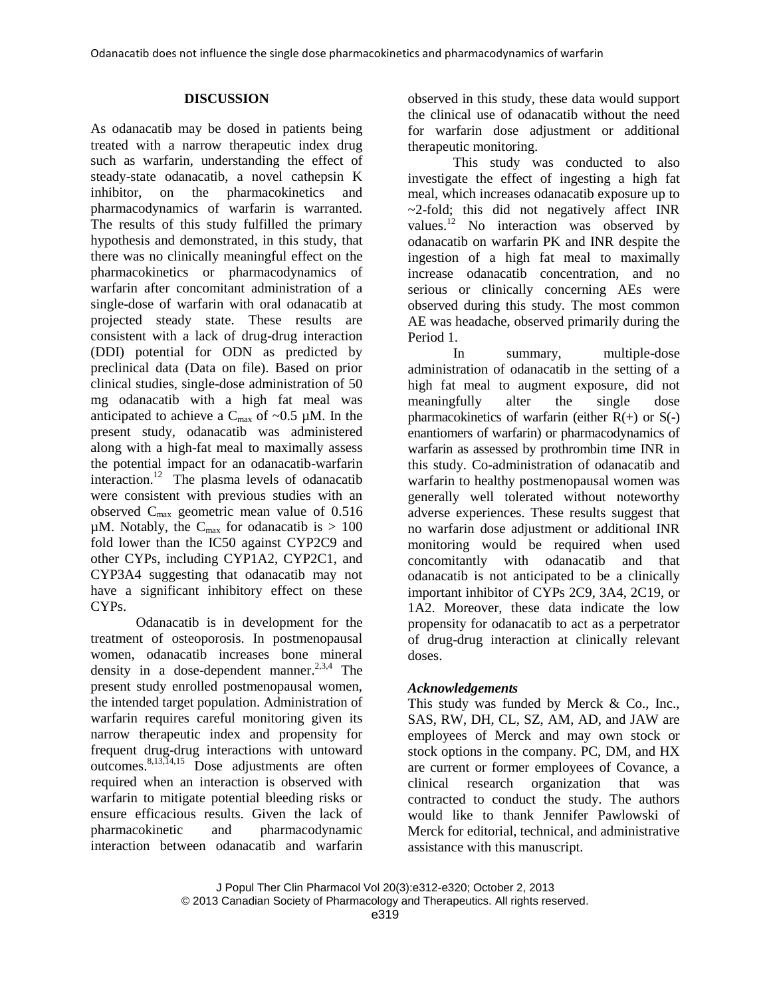# **DISCUSSION**

As odanacatib may be dosed in patients being treated with a narrow therapeutic index drug such as warfarin, understanding the effect of steady-state odanacatib, a novel cathepsin K inhibitor, on the pharmacokinetics and pharmacodynamics of warfarin is warranted. The results of this study fulfilled the primary hypothesis and demonstrated, in this study, that there was no clinically meaningful effect on the pharmacokinetics or pharmacodynamics of warfarin after concomitant administration of a single-dose of warfarin with oral odanacatib at projected steady state. These results are consistent with a lack of drug-drug interaction (DDI) potential for ODN as predicted by preclinical data (Data on file). Based on prior clinical studies, single-dose administration of 50 mg odanacatib with a high fat meal was anticipated to achieve a  $C_{\text{max}}$  of ~0.5 µM. In the present study, odanacatib was administered along with a high-fat meal to maximally assess the potential impact for an odanacatib-warfarin interaction.<sup>12</sup> The plasma levels of odanacatib were consistent with previous studies with an observed  $C_{\text{max}}$  geometric mean value of 0.516  $\mu$ M. Notably, the C<sub>max</sub> for odanacatib is > 100 fold lower than the IC50 against CYP2C9 and other CYPs, including CYP1A2, CYP2C1, and CYP3A4 suggesting that odanacatib may not have a significant inhibitory effect on these CYPs.

Odanacatib is in development for the treatment of osteoporosis. In postmenopausal women, odanacatib increases bone mineral density in a dose-dependent manner.<sup>2,3,4</sup> The present study enrolled postmenopausal women, the intended target population. Administration of warfarin requires careful monitoring given its narrow therapeutic index and propensity for frequent drug-drug interactions with untoward outcomes. 8,13,14,15 Dose adjustments are often required when an interaction is observed with warfarin to mitigate potential bleeding risks or ensure efficacious results. Given the lack of pharmacokinetic and pharmacodynamic interaction between odanacatib and warfarin

observed in this study, these data would support the clinical use of odanacatib without the need for warfarin dose adjustment or additional therapeutic monitoring.

This study was conducted to also investigate the effect of ingesting a high fat meal, which increases odanacatib exposure up to  $\sim$ 2-fold; this did not negatively affect INR values.<sup>12</sup> No interaction was observed by odanacatib on warfarin PK and INR despite the ingestion of a high fat meal to maximally increase odanacatib concentration, and no serious or clinically concerning AEs were observed during this study. The most common AE was headache, observed primarily during the Period 1.

In summary, multiple-dose administration of odanacatib in the setting of a high fat meal to augment exposure, did not meaningfully alter the single dose pharmacokinetics of warfarin (either  $R(+)$  or  $S(-)$ enantiomers of warfarin) or pharmacodynamics of warfarin as assessed by prothrombin time INR in this study. Co-administration of odanacatib and warfarin to healthy postmenopausal women was generally well tolerated without noteworthy adverse experiences. These results suggest that no warfarin dose adjustment or additional INR monitoring would be required when used concomitantly with odanacatib and that odanacatib is not anticipated to be a clinically important inhibitor of CYPs 2C9, 3A4, 2C19, or 1A2. Moreover, these data indicate the low propensity for odanacatib to act as a perpetrator of drug-drug interaction at clinically relevant doses.

# *Acknowledgements*

This study was funded by Merck & Co., Inc., SAS, RW, DH, CL, SZ, AM, AD, and JAW are employees of Merck and may own stock or stock options in the company. PC, DM, and HX are current or former employees of Covance, a clinical research organization that was contracted to conduct the study. The authors would like to thank Jennifer Pawlowski of Merck for editorial, technical, and administrative assistance with this manuscript.

J Popul Ther Clin Pharmacol Vol 20(3):e312-e320; October 2, 2013 © 2013 Canadian Society of Pharmacology and Therapeutics. All rights reserved.